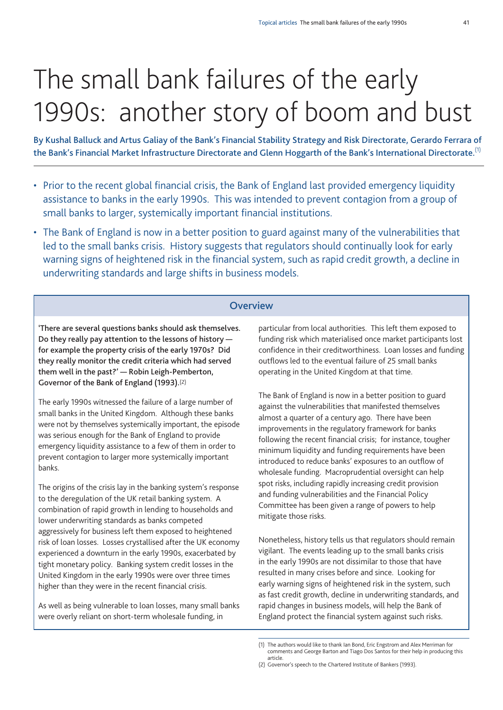# The small bank failures of the early 1990s: another story of boom and bust

By Kushal Balluck and Artus Galiay of the Bank's Financial Stability Strategy and Risk Directorate, Gerardo Ferrara of **the Bank's Financial Market Infrastructure Directorate and Glenn Hoggarth of the Bank's International Directorate.** (1)

- Prior to the recent global financial crisis, the Bank of England last provided emergency liquidity assistance to banks in the early 1990s. This was intended to prevent contagion from a group of small banks to larger, systemically important financial institutions.
- The Bank of England is now in a better position to guard against many of the vulnerabilities that led to the small banks crisis. History suggests that regulators should continually look for early warning signs of heightened risk in the financial system, such as rapid credit growth, a decline in underwriting standards and large shifts in business models.

## **Overview**

**'There are several questions banks should ask themselves. Do they really pay attention to the lessons of history for example the property crisis of the early 1970s? Did they really monitor the credit criteria which had served them well in the past?' — Robin Leigh-Pemberton, Governor of the Bank of England (1993).**(2)

The early 1990s witnessed the failure of a large number of small banks in the United Kingdom. Although these banks were not by themselves systemically important, the episode was serious enough for the Bank of England to provide emergency liquidity assistance to a few of them in order to prevent contagion to larger more systemically important banks.

The origins of the crisis lay in the banking system's response to the deregulation of the UK retail banking system. A combination of rapid growth in lending to households and lower underwriting standards as banks competed aggressively for business left them exposed to heightened risk of loan losses. Losses crystallised after the UK economy experienced a downturn in the early 1990s, exacerbated by tight monetary policy. Banking system credit losses in the United Kingdom in the early 1990s were over three times higher than they were in the recent financial crisis.

As well as being vulnerable to loan losses, many small banks were overly reliant on short-term wholesale funding, in

particular from local authorities. This left them exposed to funding risk which materialised once market participants lost confidence in their creditworthiness. Loan losses and funding outflows led to the eventual failure of 25 small banks operating in the United Kingdom at that time.

The Bank of England is now in a better position to guard against the vulnerabilities that manifested themselves almost a quarter of a century ago. There have been improvements in the regulatory framework for banks following the recent financial crisis; for instance, tougher minimum liquidity and funding requirements have been introduced to reduce banks' exposures to an outflow of wholesale funding. Macroprudential oversight can help spot risks, including rapidly increasing credit provision and funding vulnerabilities and the Financial Policy Committee has been given a range of powers to help mitigate those risks.

Nonetheless, history tells us that regulators should remain vigilant. The events leading up to the small banks crisis in the early 1990s are not dissimilar to those that have resulted in many crises before and since. Looking for early warning signs of heightened risk in the system, such as fast credit growth, decline in underwriting standards, and rapid changes in business models, will help the Bank of England protect the financial system against such risks.

<sup>(1)</sup> The authors would like to thank Ian Bond, Eric Engstrom and Alex Merriman for comments and George Barton and Tiago Dos Santos for their help in producing this article.

<sup>(2)</sup> Governor's speech to the Chartered Institute of Bankers (1993).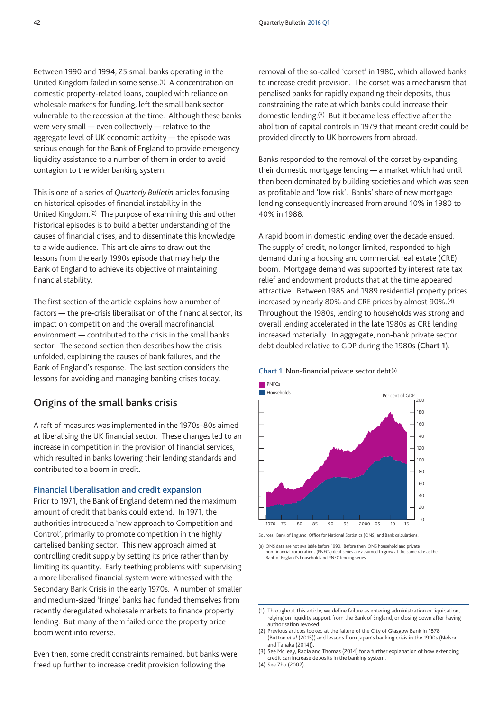Between 1990 and 1994, 25 small banks operating in the United Kingdom failed in some sense.(1) A concentration on domestic property-related loans, coupled with reliance on wholesale markets for funding, left the small bank sector vulnerable to the recession at the time. Although these banks were very small — even collectively — relative to the aggregate level of UK economic activity — the episode was serious enough for the Bank of England to provide emergency liquidity assistance to a number of them in order to avoid contagion to the wider banking system.

This is one of a series of *Quarterly Bulletin* articles focusing on historical episodes of financial instability in the United Kingdom.(2) The purpose of examining this and other historical episodes is to build a better understanding of the causes of financial crises, and to disseminate this knowledge to a wide audience. This article aims to draw out the lessons from the early 1990s episode that may help the Bank of England to achieve its objective of maintaining financial stability.

The first section of the article explains how a number of factors — the pre-crisis liberalisation of the financial sector, its impact on competition and the overall macrofinancial environment — contributed to the crisis in the small banks sector. The second section then describes how the crisis unfolded, explaining the causes of bank failures, and the Bank of England's response. The last section considers the lessons for avoiding and managing banking crises today.

## **Origins of the small banks crisis**

A raft of measures was implemented in the 1970s–80s aimed at liberalising the UK financial sector. These changes led to an increase in competition in the provision of financial services, which resulted in banks lowering their lending standards and contributed to a boom in credit.

#### **Financial liberalisation and credit expansion**

Prior to 1971, the Bank of England determined the maximum amount of credit that banks could extend. In 1971, the authorities introduced a 'new approach to Competition and Control', primarily to promote competition in the highly cartelised banking sector. This new approach aimed at controlling credit supply by setting its price rather than by limiting its quantity. Early teething problems with supervising a more liberalised financial system were witnessed with the Secondary Bank Crisis in the early 1970s. A number of smaller and medium-sized 'fringe' banks had funded themselves from recently deregulated wholesale markets to finance property lending. But many of them failed once the property price boom went into reverse.

Even then, some credit constraints remained, but banks were freed up further to increase credit provision following the

removal of the so-called 'corset' in 1980, which allowed banks to increase credit provision. The corset was a mechanism that penalised banks for rapidly expanding their deposits, thus constraining the rate at which banks could increase their domestic lending.(3) But it became less effective after the abolition of capital controls in 1979 that meant credit could be provided directly to UK borrowers from abroad.

Banks responded to the removal of the corset by expanding their domestic mortgage lending — a market which had until then been dominated by building societies and which was seen as profitable and 'low risk'. Banks' share of new mortgage lending consequently increased from around 10% in 1980 to 40% in 1988.

A rapid boom in domestic lending over the decade ensued. The supply of credit, no longer limited, responded to high demand during a housing and commercial real estate (CRE) boom. Mortgage demand was supported by interest rate tax relief and endowment products that at the time appeared attractive. Between 1985 and 1989 residential property prices increased by nearly 80% and CRE prices by almost 90%.(4) Throughout the 1980s, lending to households was strong and overall lending accelerated in the late 1980s as CRE lending increased materially. In aggregate, non-bank private sector debt doubled relative to GDP during the 1980s (**Chart 1**).



**Chart 1** Non-financial private sector debt(a)

- (2) Previous articles looked at the failure of the City of Glasgow Bank in 1878 (Button *et al* (2015)) and lessons from Japan's banking crisis in the 1990s (Nelson and Tanaka (2014)).
- (3) See McLeay, Radia and Thomas (2014) for a further explanation of how extending credit can increase deposits in the banking system.
- (4) See Zhu (2002).

Sources: Bank of England, Office for National Statistics (ONS) and Bank calculations.

<sup>(</sup>a) ONS data are not available before 1990. Before then, ONS household and private non-financial corporations (PNFCs) debt series are assumed to grow at the same rate as the Bank of England's household and PNFC lending series.

<sup>(1)</sup> Throughout this article, we define failure as entering administration or liquidation, relying on liquidity support from the Bank of England, or closing down after having authorisation revoked.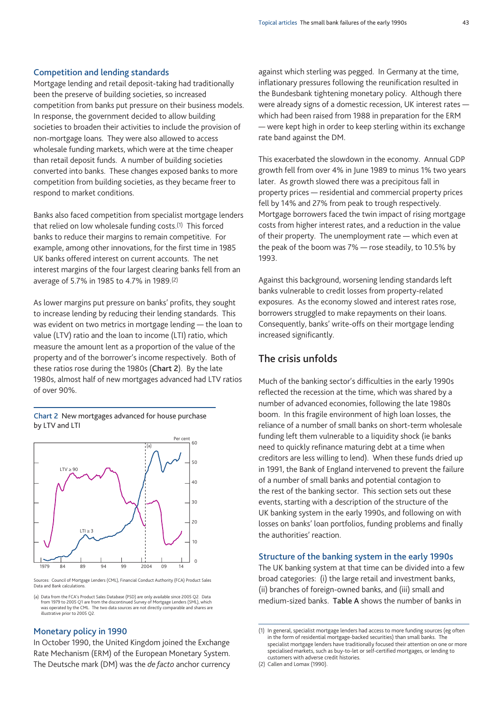#### **Competition and lending standards**

Mortgage lending and retail deposit-taking had traditionally been the preserve of building societies, so increased competition from banks put pressure on their business models. In response, the government decided to allow building societies to broaden their activities to include the provision of non-mortgage loans. They were also allowed to access wholesale funding markets, which were at the time cheaper than retail deposit funds. A number of building societies converted into banks. These changes exposed banks to more competition from building societies, as they became freer to respond to market conditions.

Banks also faced competition from specialist mortgage lenders that relied on low wholesale funding costs.<sup>(1)</sup> This forced banks to reduce their margins to remain competitive. For example, among other innovations, for the first time in 1985 UK banks offered interest on current accounts. The net interest margins of the four largest clearing banks fell from an average of 5.7% in 1985 to 4.7% in 1989.(2)

As lower margins put pressure on banks' profits, they sought to increase lending by reducing their lending standards. This was evident on two metrics in mortgage lending — the loan to value (LTV) ratio and the loan to income (LTI) ratio, which measure the amount lent as a proportion of the value of the property and of the borrower's income respectively. Both of these ratios rose during the 1980s (**Chart 2**). By the late 1980s, almost half of new mortgages advanced had LTV ratios of over 90%.

**Chart 2** New mortgages advanced for house purchase by LTV and LTI



Sources: Council of Mortgage Lenders (CML), Financial Conduct Authority (FCA) Product Sales Data and Bank calculation

(a) Data from the FCA's Product Sales Database (PSD) are only available since 2005 Q2. Data<br>from 1979 to 2005 Q1 are from the discontinued Survey of Mortgage Lenders (SML), which<br>was operated by the CML. The two data sourc illustrative prior to 2005 Q2.

## **Monetary policy in 1990**

In October 1990, the United Kingdom joined the Exchange Rate Mechanism (ERM) of the European Monetary System. The Deutsche mark (DM) was the *de facto* anchor currency against which sterling was pegged. In Germany at the time, inflationary pressures following the reunification resulted in the Bundesbank tightening monetary policy. Although there were already signs of a domestic recession, UK interest rates which had been raised from 1988 in preparation for the ERM — were kept high in order to keep sterling within its exchange rate band against the DM.

This exacerbated the slowdown in the economy. Annual GDP growth fell from over 4% in June 1989 to minus 1% two years later. As growth slowed there was a precipitous fall in property prices — residential and commercial property prices fell by 14% and 27% from peak to trough respectively. Mortgage borrowers faced the twin impact of rising mortgage costs from higher interest rates, and a reduction in the value of their property. The unemployment rate — which even at the peak of the boom was 7% — rose steadily, to 10.5% by 1993.

Against this background, worsening lending standards left banks vulnerable to credit losses from property-related exposures. As the economy slowed and interest rates rose, borrowers struggled to make repayments on their loans. Consequently, banks' write-offs on their mortgage lending increased significantly.

# **The crisis unfolds**

Much of the banking sector's difficulties in the early 1990s reflected the recession at the time, which was shared by a number of advanced economies, following the late 1980s boom. In this fragile environment of high loan losses, the reliance of a number of small banks on short-term wholesale funding left them vulnerable to a liquidity shock (ie banks need to quickly refinance maturing debt at a time when creditors are less willing to lend). When these funds dried up in 1991, the Bank of England intervened to prevent the failure of a number of small banks and potential contagion to the rest of the banking sector. This section sets out these events, starting with a description of the structure of the UK banking system in the early 1990s, and following on with losses on banks' loan portfolios, funding problems and finally the authorities' reaction.

#### **Structure of the banking system in the early 1990s**

The UK banking system at that time can be divided into a few broad categories: (i) the large retail and investment banks, (ii) branches of foreign-owned banks, and (iii) small and medium-sized banks. **Table A** shows the number of banks in

<sup>(1)</sup> In general, specialist mortgage lenders had access to more funding sources (eg often in the form of residential mortgage-backed securities) than small banks. The specialist mortgage lenders have traditionally focused their attention on one or more specialised markets, such as buy-to-let or self-certified mortgages, or lending to customers with adverse credit histories.

<sup>(2)</sup> Callen and Lomax (1990).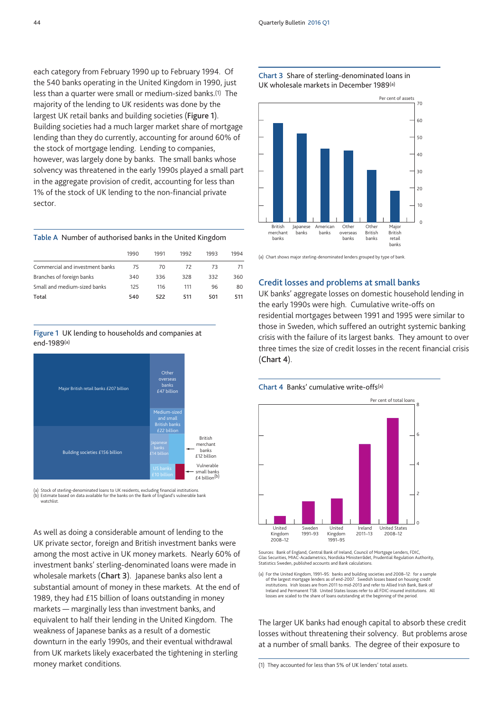each category from February 1990 up to February 1994. Of the 540 banks operating in the United Kingdom in 1990, just less than a quarter were small or medium-sized banks.(1) The majority of the lending to UK residents was done by the largest UK retail banks and building societies (**Figure 1**). Building societies had a much larger market share of mortgage lending than they do currently, accounting for around 60% of the stock of mortgage lending. Lending to companies, however, was largely done by banks. The small banks whose solvency was threatened in the early 1990s played a small part in the aggregate provision of credit, accounting for less than 1% of the stock of UK lending to the non-financial private sector.

#### **Table A** Number of authorised banks in the United Kingdom

|                                 | 1990 | 1991 | 1992 | 1993 | 1994 |
|---------------------------------|------|------|------|------|------|
| Commercial and investment banks | 75   | 70   | 72   | 73   | 71   |
| Branches of foreign banks       | 340  | 336  | 328  | 332  | 360  |
| Small and medium-sized banks    | 125  | 116  | 111  | 96   | 80   |
| Total                           | 540  | 522  | 511  | 501  | 511  |

#### **Figure 1** UK lending to households and companies at end-1989(a)



(a) Stock of sterling-denominated loans to UK residents, excluding financial institution (b) Estimate based on data available for the banks on the Bank of England's vulnerable bank watchlist.

As well as doing a considerable amount of lending to the UK private sector, foreign and British investment banks were among the most active in UK money markets. Nearly 60% of investment banks' sterling-denominated loans were made in wholesale markets (**Chart 3**). Japanese banks also lent a substantial amount of money in these markets. At the end of 1989, they had £15 billion of loans outstanding in money markets — marginally less than investment banks, and equivalent to half their lending in the United Kingdom. The weakness of Japanese banks as a result of a domestic downturn in the early 1990s, and their eventual withdrawal from UK markets likely exacerbated the tightening in sterling money market conditions.





(a) Chart shows major sterling-denominated lenders grouped by type of bank.

#### **Credit losses and problems at small banks**

UK banks' aggregate losses on domestic household lending in the early 1990s were high. Cumulative write-offs on residential mortgages between 1991 and 1995 were similar to those in Sweden, which suffered an outright systemic banking crisis with the failure of its largest banks. They amount to over three times the size of credit losses in the recent financial crisis (**Chart 4**).

#### **Chart 4** Banks' cumulative write-offs(a)



Sources: Bank of England, Central Bank of Ireland, Council of Mortgage Lenders, FDIC, Glas Securities, MIAC-Acadametrics, Nordiska Ministerrådet, Prudential Regulation Authority, Statistics Sweden, published accounts and Bank calculations.

(a) For the United Kingdom, 1991–95: banks and building societies and 2008–12: for a sample of the largest mortgage lenders as of end-2007. Swedish losses based on housing credit institutions. Irish losses are from 2011 to mid-2013 and refer to Allied Irish Bank, Bank of Ireland and Permanent TSB. United States losses refer to all FDIC-insured institutions. All losses are scaled to the share of loans outstanding at the beginning of the period.

The larger UK banks had enough capital to absorb these credit losses without threatening their solvency. But problems arose at a number of small banks. The degree of their exposure to

(1) They accounted for less than 5% of UK lenders' total assets.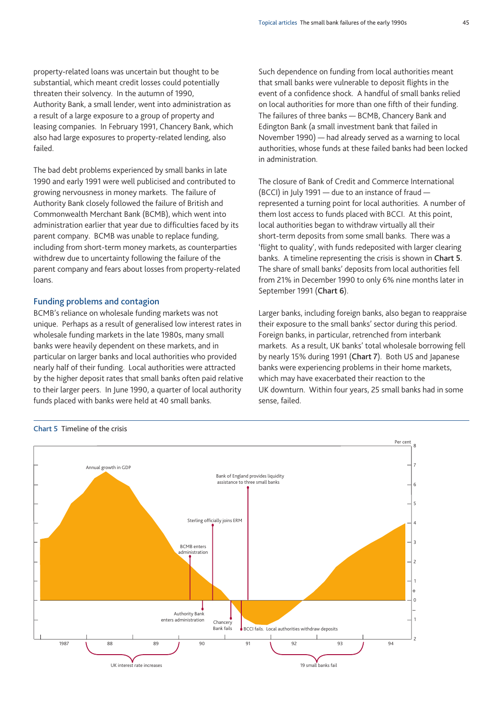property-related loans was uncertain but thought to be substantial, which meant credit losses could potentially threaten their solvency. In the autumn of 1990, Authority Bank, a small lender, went into administration as a result of a large exposure to a group of property and leasing companies. In February 1991, Chancery Bank, which also had large exposures to property-related lending, also failed.

The bad debt problems experienced by small banks in late 1990 and early 1991 were well publicised and contributed to growing nervousness in money markets. The failure of Authority Bank closely followed the failure of British and Commonwealth Merchant Bank (BCMB), which went into administration earlier that year due to difficulties faced by its parent company. BCMB was unable to replace funding, including from short-term money markets, as counterparties withdrew due to uncertainty following the failure of the parent company and fears about losses from property-related loans.

#### **Funding problems and contagion**

BCMB's reliance on wholesale funding markets was not unique. Perhaps as a result of generalised low interest rates in wholesale funding markets in the late 1980s, many small banks were heavily dependent on these markets, and in particular on larger banks and local authorities who provided nearly half of their funding. Local authorities were attracted by the higher deposit rates that small banks often paid relative to their larger peers. In June 1990, a quarter of local authority funds placed with banks were held at 40 small banks.

Such dependence on funding from local authorities meant that small banks were vulnerable to deposit flights in the event of a confidence shock. A handful of small banks relied on local authorities for more than one fifth of their funding. The failures of three banks — BCMB, Chancery Bank and Edington Bank (a small investment bank that failed in November 1990) — had already served as a warning to local authorities, whose funds at these failed banks had been locked in administration.

The closure of Bank of Credit and Commerce International (BCCI) in July 1991 — due to an instance of fraud represented a turning point for local authorities. A number of them lost access to funds placed with BCCI. At this point, local authorities began to withdraw virtually all their short-term deposits from some small banks. There was a 'flight to quality', with funds redeposited with larger clearing banks. A timeline representing the crisis is shown in **Chart 5**. The share of small banks' deposits from local authorities fell from 21% in December 1990 to only 6% nine months later in September 1991 (**Chart 6**).

Larger banks, including foreign banks, also began to reappraise their exposure to the small banks' sector during this period. Foreign banks, in particular, retrenched from interbank markets. As a result, UK banks' total wholesale borrowing fell by nearly 15% during 1991 (**Chart 7**). Both US and Japanese banks were experiencing problems in their home markets, which may have exacerbated their reaction to the UK downturn. Within four years, 25 small banks had in some sense, failed.



## **Chart 5** Timeline of the crisis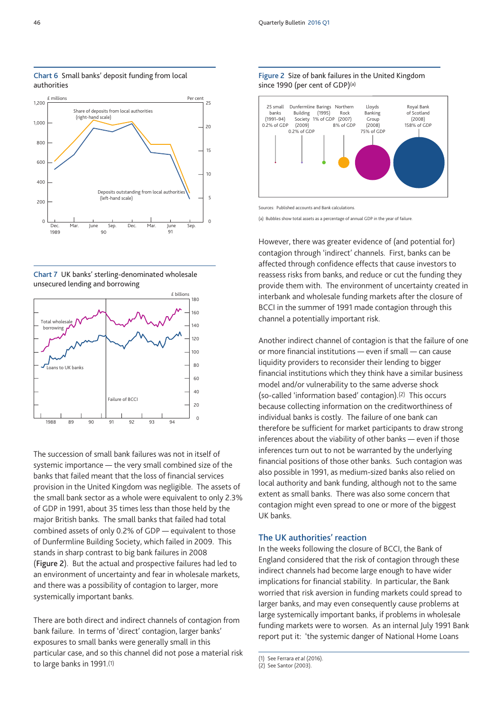

**Chart 6** Small banks' deposit funding from local authorities

**Chart 7** UK banks' sterling-denominated wholesale unsecured lending and borrowing



The succession of small bank failures was not in itself of systemic importance — the very small combined size of the banks that failed meant that the loss of financial services provision in the United Kingdom was negligible. The assets of the small bank sector as a whole were equivalent to only 2.3% of GDP in 1991, about 35 times less than those held by the major British banks. The small banks that failed had total combined assets of only 0.2% of GDP — equivalent to those of Dunfermline Building Society, which failed in 2009. This stands in sharp contrast to big bank failures in 2008 (**Figure 2**). But the actual and prospective failures had led to an environment of uncertainty and fear in wholesale markets, and there was a possibility of contagion to larger, more systemically important banks.

There are both direct and indirect channels of contagion from bank failure. In terms of 'direct' contagion, larger banks' exposures to small banks were generally small in this particular case, and so this channel did not pose a material risk to large banks in 1991.(1)





Sources: Published accounts and Bank calculations.

(a) Bubbles show total assets as a percentage of annual GDP in the year of failure.

However, there was greater evidence of (and potential for) contagion through 'indirect' channels. First, banks can be affected through confidence effects that cause investors to reassess risks from banks, and reduce or cut the funding they provide them with. The environment of uncertainty created in interbank and wholesale funding markets after the closure of BCCI in the summer of 1991 made contagion through this channel a potentially important risk.

Another indirect channel of contagion is that the failure of one or more financial institutions — even if small — can cause liquidity providers to reconsider their lending to bigger financial institutions which they think have a similar business model and/or vulnerability to the same adverse shock (so-called 'information based' contagion).(2) This occurs because collecting information on the creditworthiness of individual banks is costly. The failure of one bank can therefore be sufficient for market participants to draw strong inferences about the viability of other banks — even if those inferences turn out to not be warranted by the underlying financial positions of those other banks. Such contagion was also possible in 1991, as medium-sized banks also relied on local authority and bank funding, although not to the same extent as small banks. There was also some concern that contagion might even spread to one or more of the biggest UK banks.

#### **The UK authorities' reaction**

In the weeks following the closure of BCCI, the Bank of England considered that the risk of contagion through these indirect channels had become large enough to have wider implications for financial stability. In particular, the Bank worried that risk aversion in funding markets could spread to larger banks, and may even consequently cause problems at large systemically important banks, if problems in wholesale funding markets were to worsen. As an internal July 1991 Bank report put it: 'the systemic danger of National Home Loans

<sup>(1)</sup> See Ferrara *et al* (2016).

<sup>(2)</sup> See Santor (2003).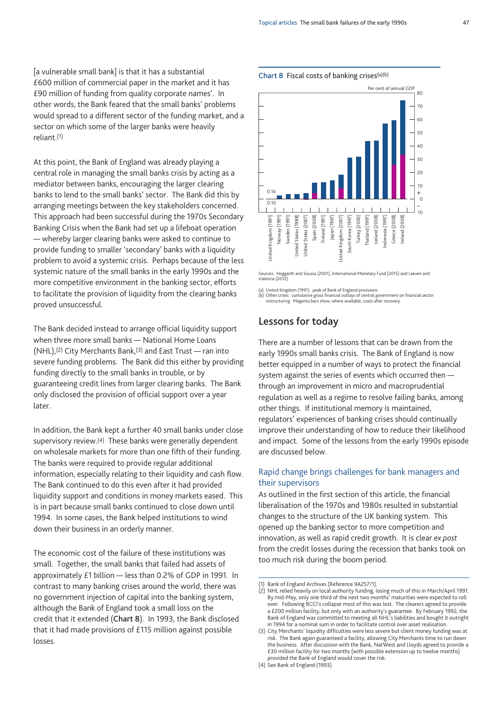[a vulnerable small bank] is that it has a substantial £600 million of commercial paper in the market and it has £90 million of funding from quality corporate names'. In other words, the Bank feared that the small banks' problems would spread to a different sector of the funding market, and a sector on which some of the larger banks were heavily reliant.(1)

At this point, the Bank of England was already playing a central role in managing the small banks crisis by acting as a mediator between banks, encouraging the larger clearing banks to lend to the small banks' sector. The Bank did this by arranging meetings between the key stakeholders concerned. This approach had been successful during the 1970s Secondary Banking Crisis when the Bank had set up a lifeboat operation — whereby larger clearing banks were asked to continue to provide funding to smaller 'secondary' banks with a liquidity problem to avoid a systemic crisis. Perhaps because of the less systemic nature of the small banks in the early 1990s and the more competitive environment in the banking sector, efforts to facilitate the provision of liquidity from the clearing banks proved unsuccessful.

The Bank decided instead to arrange official liquidity support when three more small banks — National Home Loans (NHL),(2) City Merchants Bank,(3) and East Trust — ran into severe funding problems. The Bank did this either by providing funding directly to the small banks in trouble, or by guaranteeing credit lines from larger clearing banks. The Bank only disclosed the provision of official support over a year later.

In addition, the Bank kept a further 40 small banks under close supervisory review.(4) These banks were generally dependent on wholesale markets for more than one fifth of their funding. The banks were required to provide regular additional information, especially relating to their liquidity and cash flow. The Bank continued to do this even after it had provided liquidity support and conditions in money markets eased. This is in part because small banks continued to close down until 1994. In some cases, the Bank helped institutions to wind down their business in an orderly manner.

The economic cost of the failure of these institutions was small. Together, the small banks that failed had assets of approximately £1 billion — less than 0.2% of GDP in 1991. In contrast to many banking crises around the world, there was no government injection of capital into the banking system, although the Bank of England took a small loss on the credit that it extended (**Chart 8**). In 1993, the Bank disclosed that it had made provisions of £115 million against possible losses.



Sources: Hoggarth and Soussa (2001), International Monetary Fund (2015) and Laeven and Valencia (2012).

(a) United Kingdom (1991): peak of Bank of England provisions. (b) Other crises: cumulative gross financial outlays of central government on financial sector

restructuring. Magenta bars show, where available, costs after recovery.

# **Lessons for today**

There are a number of lessons that can be drawn from the early 1990s small banks crisis. The Bank of England is now better equipped in a number of ways to protect the financial system against the series of events which occurred then through an improvement in micro and macroprudential regulation as well as a regime to resolve failing banks, among other things. If institutional memory is maintained, regulators' experiences of banking crises should continually improve their understanding of how to reduce their likelihood and impact. Some of the lessons from the early 1990s episode are discussed below.

## Rapid change brings challenges for bank managers and their supervisors

As outlined in the first section of this article, the financial liberalisation of the 1970s and 1980s resulted in substantial changes to the structure of the UK banking system. This opened up the banking sector to more competition and innovation, as well as rapid credit growth. It is clear *ex post* from the credit losses during the recession that banks took on too much risk during the boom period.

<sup>(1)</sup> Bank of England Archives (Reference 9A257/1).

<sup>(2)</sup> NHL relied heavily on local authority funding, losing much of this in March/April 1991. By mid-May, only one third of the next two months' maturities were expected to roll over. Following BCCI's collapse most of this was lost. The clearers agreed to provide a £200 million facility, but only with an authority's guarantee. By February 1992, the Bank of England was committed to meeting all NHL's liabilities and bought it outright in 1994 for a nominal sum in order to facilitate control over asset realisation.

<sup>(3)</sup> City Merchants' liquidity difficulties were less severe but client money funding was at risk. The Bank again guaranteed a facility, allowing City Merchants time to run down the business. After discussion with the Bank, NatWest and Lloyds agreed to provide a £30 million facility for two months (with possible extension up to twelve months) provided the Bank of England would cover the risk.

<sup>(4)</sup> See Bank of England (1993).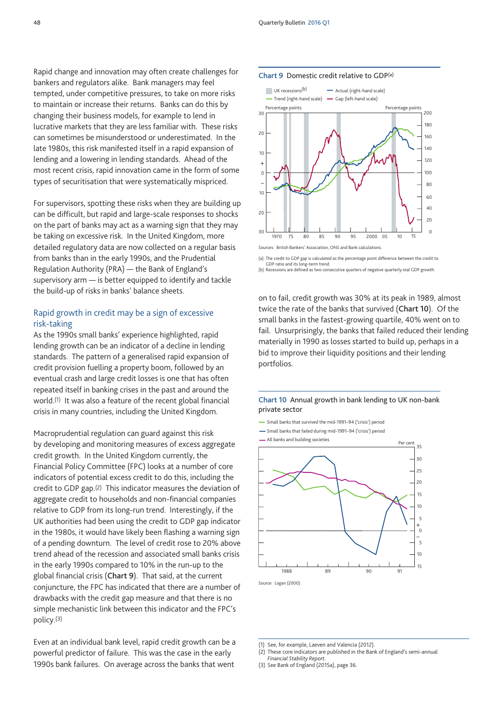Rapid change and innovation may often create challenges for bankers and regulators alike. Bank managers may feel tempted, under competitive pressures, to take on more risks to maintain or increase their returns. Banks can do this by changing their business models, for example to lend in lucrative markets that they are less familiar with. These risks can sometimes be misunderstood or underestimated. In the late 1980s, this risk manifested itself in a rapid expansion of lending and a lowering in lending standards. Ahead of the most recent crisis, rapid innovation came in the form of some types of securitisation that were systematically mispriced.

For supervisors, spotting these risks when they are building up can be difficult, but rapid and large-scale responses to shocks on the part of banks may act as a warning sign that they may be taking on excessive risk. In the United Kingdom, more detailed regulatory data are now collected on a regular basis from banks than in the early 1990s, and the Prudential Regulation Authority (PRA) — the Bank of England's supervisory arm — is better equipped to identify and tackle the build-up of risks in banks' balance sheets.

## Rapid growth in credit may be a sign of excessive risk-taking

As the 1990s small banks' experience highlighted, rapid lending growth can be an indicator of a decline in lending standards. The pattern of a generalised rapid expansion of credit provision fuelling a property boom, followed by an eventual crash and large credit losses is one that has often repeated itself in banking crises in the past and around the world.(1) It was also a feature of the recent global financial crisis in many countries, including the United Kingdom.

Macroprudential regulation can guard against this risk by developing and monitoring measures of excess aggregate credit growth. In the United Kingdom currently, the Financial Policy Committee (FPC) looks at a number of core indicators of potential excess credit to do this, including the credit to GDP gap.(2) This indicator measures the deviation of aggregate credit to households and non-financial companies relative to GDP from its long-run trend. Interestingly, if the UK authorities had been using the credit to GDP gap indicator in the 1980s, it would have likely been flashing a warning sign of a pending downturn. The level of credit rose to 20% above trend ahead of the recession and associated small banks crisis in the early 1990s compared to 10% in the run-up to the global financial crisis (**Chart 9**). That said, at the current conjuncture, the FPC has indicated that there are a number of drawbacks with the credit gap measure and that there is no simple mechanistic link between this indicator and the FPC's policy.(3)

Even at an individual bank level, rapid credit growth can be a powerful predictor of failure. This was the case in the early 1990s bank failures. On average across the banks that went

#### **Chart 9** Domestic credit relative to GDP(a)



(a) The credit to GDP gap is calculated as the percentage point difference between the credit to GDP ratio and its long-term trend. (b) Recessions are defined as two consecutive quarters of negative quarterly real GDP growth.

on to fail, credit growth was 30% at its peak in 1989, almost twice the rate of the banks that survived (**Chart 10**). Of the small banks in the fastest-growing quartile, 40% went on to fail. Unsurprisingly, the banks that failed reduced their lending materially in 1990 as losses started to build up, perhaps in a bid to improve their liquidity positions and their lending portfolios.

#### **Chart 10** Annual growth in bank lending to UK non-bank private sector

- Small banks that survived the mid-1991–94 ('crisis') period
- Small banks that failed during mid-1991–94 ('crisis') period
- 



<sup>(1)</sup> See, for example, Laeven and Valencia (2012).

<sup>(2)</sup> These core indicators are published in the Bank of England's semi-annual *Financial Stability Report*.

<sup>(3)</sup> See Bank of England (2015a), page 36.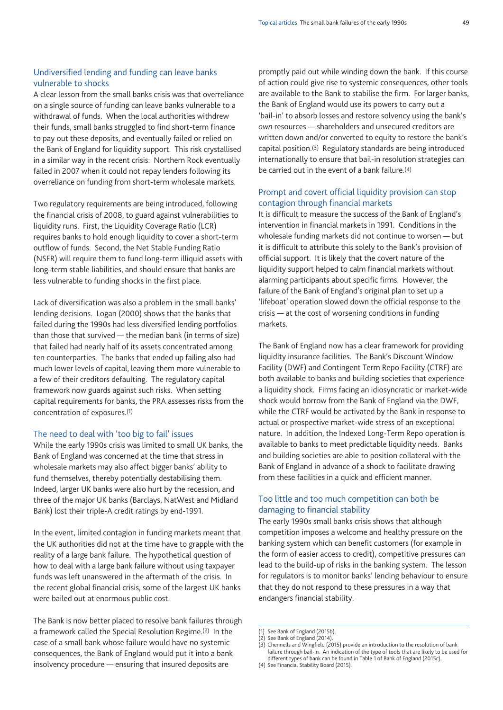## Undiversified lending and funding can leave banks vulnerable to shocks

A clear lesson from the small banks crisis was that overreliance on a single source of funding can leave banks vulnerable to a withdrawal of funds. When the local authorities withdrew their funds, small banks struggled to find short-term finance to pay out these deposits, and eventually failed or relied on the Bank of England for liquidity support. This risk crystallised in a similar way in the recent crisis: Northern Rock eventually failed in 2007 when it could not repay lenders following its overreliance on funding from short-term wholesale markets.

Two regulatory requirements are being introduced, following the financial crisis of 2008, to guard against vulnerabilities to liquidity runs. First, the Liquidity Coverage Ratio (LCR) requires banks to hold enough liquidity to cover a short-term outflow of funds. Second, the Net Stable Funding Ratio (NSFR) will require them to fund long-term illiquid assets with long-term stable liabilities, and should ensure that banks are less vulnerable to funding shocks in the first place.

Lack of diversification was also a problem in the small banks' lending decisions. Logan (2000) shows that the banks that failed during the 1990s had less diversified lending portfolios than those that survived — the median bank (in terms of size) that failed had nearly half of its assets concentrated among ten counterparties. The banks that ended up failing also had much lower levels of capital, leaving them more vulnerable to a few of their creditors defaulting. The regulatory capital framework now guards against such risks. When setting capital requirements for banks, the PRA assesses risks from the concentration of exposures.(1)

## The need to deal with 'too big to fail' issues

While the early 1990s crisis was limited to small UK banks, the Bank of England was concerned at the time that stress in wholesale markets may also affect bigger banks' ability to fund themselves, thereby potentially destabilising them. Indeed, larger UK banks were also hurt by the recession, and three of the major UK banks (Barclays, NatWest and Midland Bank) lost their triple-A credit ratings by end-1991.

In the event, limited contagion in funding markets meant that the UK authorities did not at the time have to grapple with the reality of a large bank failure. The hypothetical question of how to deal with a large bank failure without using taxpayer funds was left unanswered in the aftermath of the crisis. In the recent global financial crisis, some of the largest UK banks were bailed out at enormous public cost.

The Bank is now better placed to resolve bank failures through a framework called the Special Resolution Regime.(2) In the case of a small bank whose failure would have no systemic consequences, the Bank of England would put it into a bank insolvency procedure — ensuring that insured deposits are

promptly paid out while winding down the bank. If this course of action could give rise to systemic consequences, other tools are available to the Bank to stabilise the firm. For larger banks, the Bank of England would use its powers to carry out a 'bail-in' to absorb losses and restore solvency using the bank's *own* resources — shareholders and unsecured creditors are written down and/or converted to equity to restore the bank's capital position.(3) Regulatory standards are being introduced internationally to ensure that bail-in resolution strategies can be carried out in the event of a bank failure.(4)

## Prompt and covert official liquidity provision can stop contagion through financial markets

It is difficult to measure the success of the Bank of England's intervention in financial markets in 1991. Conditions in the wholesale funding markets did not continue to worsen — but it is difficult to attribute this solely to the Bank's provision of official support. It is likely that the covert nature of the liquidity support helped to calm financial markets without alarming participants about specific firms. However, the failure of the Bank of England's original plan to set up a 'lifeboat' operation slowed down the official response to the crisis — at the cost of worsening conditions in funding markets.

The Bank of England now has a clear framework for providing liquidity insurance facilities. The Bank's Discount Window Facility (DWF) and Contingent Term Repo Facility (CTRF) are both available to banks and building societies that experience a liquidity shock. Firms facing an idiosyncratic or market-wide shock would borrow from the Bank of England via the DWF, while the CTRF would be activated by the Bank in response to actual or prospective market-wide stress of an exceptional nature. In addition, the Indexed Long-Term Repo operation is available to banks to meet predictable liquidity needs. Banks and building societies are able to position collateral with the Bank of England in advance of a shock to facilitate drawing from these facilities in a quick and efficient manner.

## Too little and too much competition can both be damaging to financial stability

The early 1990s small banks crisis shows that although competition imposes a welcome and healthy pressure on the banking system which can benefit customers (for example in the form of easier access to credit), competitive pressures can lead to the build-up of risks in the banking system. The lesson for regulators is to monitor banks' lending behaviour to ensure that they do not respond to these pressures in a way that endangers financial stability.

<sup>(1)</sup> See Bank of England (2015b).

See Bank of England (2014)

 $(3)$  Chennells and Wingfield (2015) provide an introduction to the resolution of bank failure through bail-in. An indication of the type of tools that are likely to be used for different types of bank can be found in Table 1 of Bank of England (2015c).

<sup>(4)</sup> See Financial Stability Board (2015).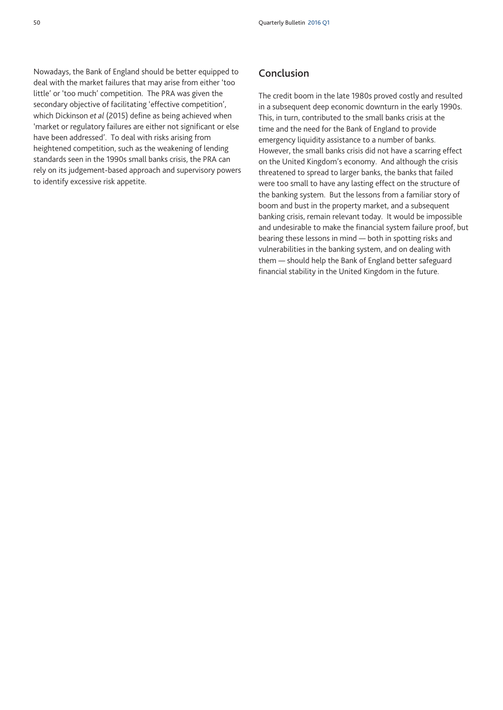Nowadays, the Bank of England should be better equipped to deal with the market failures that may arise from either 'too little' or 'too much' competition. The PRA was given the secondary objective of facilitating 'effective competition', which Dickinson *et al* (2015) define as being achieved when 'market or regulatory failures are either not significant or else have been addressed'. To deal with risks arising from heightened competition, such as the weakening of lending standards seen in the 1990s small banks crisis, the PRA can rely on its judgement-based approach and supervisory powers to identify excessive risk appetite.

## **Conclusion**

The credit boom in the late 1980s proved costly and resulted in a subsequent deep economic downturn in the early 1990s. This, in turn, contributed to the small banks crisis at the time and the need for the Bank of England to provide emergency liquidity assistance to a number of banks. However, the small banks crisis did not have a scarring effect on the United Kingdom's economy. And although the crisis threatened to spread to larger banks, the banks that failed were too small to have any lasting effect on the structure of the banking system. But the lessons from a familiar story of boom and bust in the property market, and a subsequent banking crisis, remain relevant today. It would be impossible and undesirable to make the financial system failure proof, but bearing these lessons in mind — both in spotting risks and vulnerabilities in the banking system, and on dealing with them — should help the Bank of England better safeguard financial stability in the United Kingdom in the future.